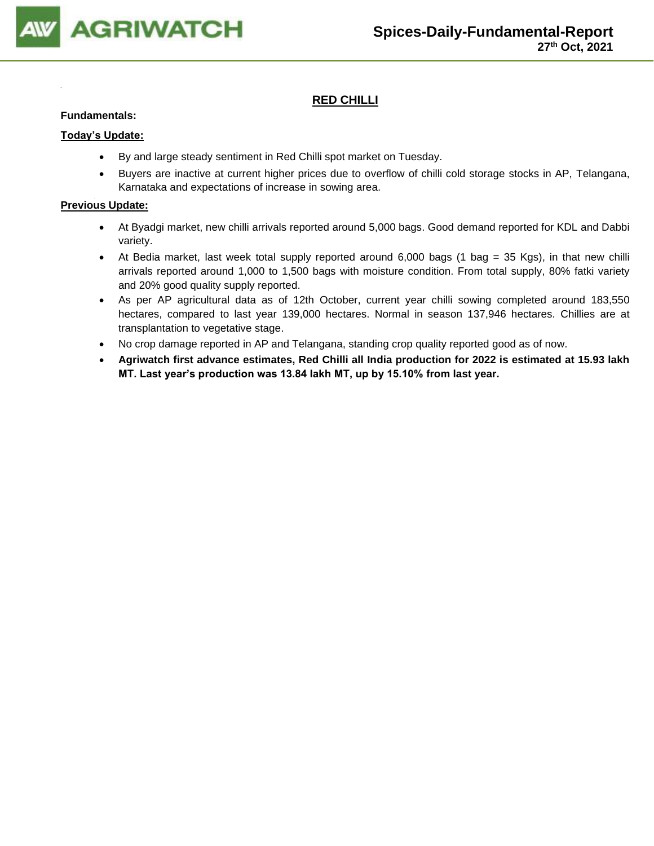

# **RED CHILLI**

#### **Fundamentals:**

#### **Today's Update:**

- By and large steady sentiment in Red Chilli spot market on Tuesday.
- Buyers are inactive at current higher prices due to overflow of chilli cold storage stocks in AP, Telangana, Karnataka and expectations of increase in sowing area.

- At Byadgi market, new chilli arrivals reported around 5,000 bags. Good demand reported for KDL and Dabbi variety.
- At Bedia market, last week total supply reported around 6,000 bags (1 bag = 35 Kgs), in that new chilli arrivals reported around 1,000 to 1,500 bags with moisture condition. From total supply, 80% fatki variety and 20% good quality supply reported.
- As per AP agricultural data as of 12th October, current year chilli sowing completed around 183,550 hectares, compared to last year 139,000 hectares. Normal in season 137,946 hectares. Chillies are at transplantation to vegetative stage.
- No crop damage reported in AP and Telangana, standing crop quality reported good as of now.
- **Agriwatch first advance estimates, Red Chilli all India production for 2022 is estimated at 15.93 lakh MT. Last year's production was 13.84 lakh MT, up by 15.10% from last year.**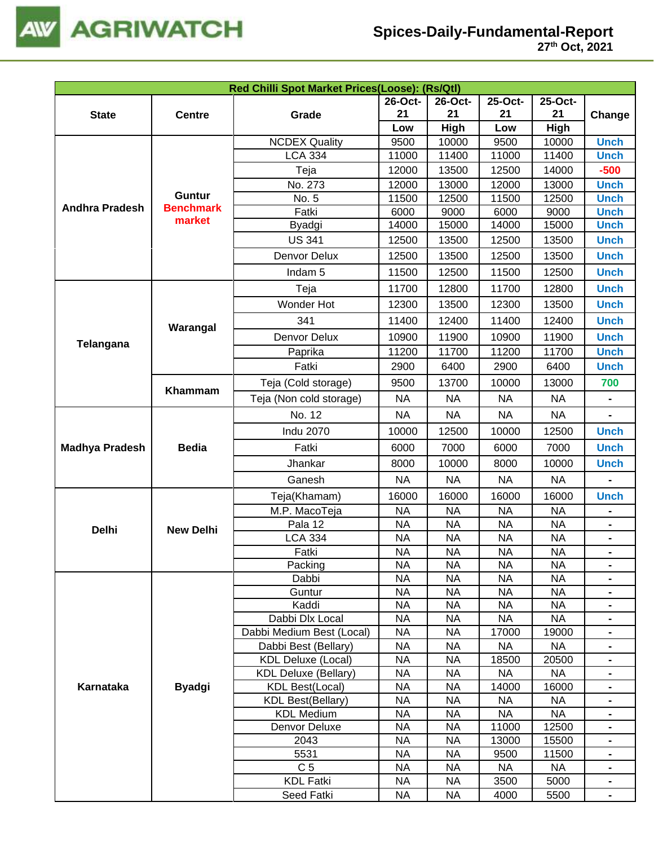

| Red Chilli Spot Market Prices(Loose): (Rs/Qtl)                                                                                                                                                                                                                                                                                                                                                                                                                                                                                                                                                                                                                                                                                                                                                                                                                                                                                                                                                                                                                                                                                                                                                                                                                                                                                                                                                                                                                                                                                                                                                                                                                                                                                                                                                                                                                                                               |               |                      |           |           |         |                                                                                                                                                                                                                                                                                                                                                                                                                                                                                                                                                                                           |                                  |  |
|--------------------------------------------------------------------------------------------------------------------------------------------------------------------------------------------------------------------------------------------------------------------------------------------------------------------------------------------------------------------------------------------------------------------------------------------------------------------------------------------------------------------------------------------------------------------------------------------------------------------------------------------------------------------------------------------------------------------------------------------------------------------------------------------------------------------------------------------------------------------------------------------------------------------------------------------------------------------------------------------------------------------------------------------------------------------------------------------------------------------------------------------------------------------------------------------------------------------------------------------------------------------------------------------------------------------------------------------------------------------------------------------------------------------------------------------------------------------------------------------------------------------------------------------------------------------------------------------------------------------------------------------------------------------------------------------------------------------------------------------------------------------------------------------------------------------------------------------------------------------------------------------------------------|---------------|----------------------|-----------|-----------|---------|-------------------------------------------------------------------------------------------------------------------------------------------------------------------------------------------------------------------------------------------------------------------------------------------------------------------------------------------------------------------------------------------------------------------------------------------------------------------------------------------------------------------------------------------------------------------------------------------|----------------------------------|--|
|                                                                                                                                                                                                                                                                                                                                                                                                                                                                                                                                                                                                                                                                                                                                                                                                                                                                                                                                                                                                                                                                                                                                                                                                                                                                                                                                                                                                                                                                                                                                                                                                                                                                                                                                                                                                                                                                                                              |               |                      | 26-Oct-   | 26-Oct-   | 25-Oct- | 25-Oct-                                                                                                                                                                                                                                                                                                                                                                                                                                                                                                                                                                                   |                                  |  |
| <b>State</b>                                                                                                                                                                                                                                                                                                                                                                                                                                                                                                                                                                                                                                                                                                                                                                                                                                                                                                                                                                                                                                                                                                                                                                                                                                                                                                                                                                                                                                                                                                                                                                                                                                                                                                                                                                                                                                                                                                 | <b>Centre</b> | Grade                | 21<br>21  |           | 21      | 21                                                                                                                                                                                                                                                                                                                                                                                                                                                                                                                                                                                        | Change                           |  |
|                                                                                                                                                                                                                                                                                                                                                                                                                                                                                                                                                                                                                                                                                                                                                                                                                                                                                                                                                                                                                                                                                                                                                                                                                                                                                                                                                                                                                                                                                                                                                                                                                                                                                                                                                                                                                                                                                                              |               |                      | Low       | High      | Low     | High<br>10000<br>11400<br>14000<br>13000<br>12500<br>9000<br>15000<br>13500<br>13500<br>12500<br>12800<br>13500<br>12400<br>11900<br>11700<br>6400<br>13000<br>700<br><b>NA</b><br><b>NA</b><br>$\blacksquare$<br>12500<br>7000<br>10000<br><b>NA</b><br>16000<br><b>NA</b><br><b>NA</b><br>$\blacksquare$<br><b>NA</b><br><b>NA</b><br><b>NA</b><br>$\blacksquare$<br><b>NA</b><br>NA<br><b>NA</b><br>$\blacksquare$<br><b>NA</b><br>$\blacksquare$<br>19000<br>$\blacksquare$<br><b>NA</b><br>$\blacksquare$<br>20500<br><b>NA</b><br>16000<br><b>NA</b><br><b>NA</b><br>$\blacksquare$ |                                  |  |
|                                                                                                                                                                                                                                                                                                                                                                                                                                                                                                                                                                                                                                                                                                                                                                                                                                                                                                                                                                                                                                                                                                                                                                                                                                                                                                                                                                                                                                                                                                                                                                                                                                                                                                                                                                                                                                                                                                              |               | <b>NCDEX Quality</b> | 9500      | 10000     | 9500    |                                                                                                                                                                                                                                                                                                                                                                                                                                                                                                                                                                                           | <b>Unch</b>                      |  |
|                                                                                                                                                                                                                                                                                                                                                                                                                                                                                                                                                                                                                                                                                                                                                                                                                                                                                                                                                                                                                                                                                                                                                                                                                                                                                                                                                                                                                                                                                                                                                                                                                                                                                                                                                                                                                                                                                                              |               | <b>LCA 334</b>       | 11000     | 11400     | 11000   |                                                                                                                                                                                                                                                                                                                                                                                                                                                                                                                                                                                           | <b>Unch</b>                      |  |
|                                                                                                                                                                                                                                                                                                                                                                                                                                                                                                                                                                                                                                                                                                                                                                                                                                                                                                                                                                                                                                                                                                                                                                                                                                                                                                                                                                                                                                                                                                                                                                                                                                                                                                                                                                                                                                                                                                              |               | Teja                 | 12000     | 13500     | 12500   |                                                                                                                                                                                                                                                                                                                                                                                                                                                                                                                                                                                           | $-500$                           |  |
|                                                                                                                                                                                                                                                                                                                                                                                                                                                                                                                                                                                                                                                                                                                                                                                                                                                                                                                                                                                                                                                                                                                                                                                                                                                                                                                                                                                                                                                                                                                                                                                                                                                                                                                                                                                                                                                                                                              |               | No. 273              | 12000     | 13000     | 12000   |                                                                                                                                                                                                                                                                                                                                                                                                                                                                                                                                                                                           | <b>Unch</b>                      |  |
|                                                                                                                                                                                                                                                                                                                                                                                                                                                                                                                                                                                                                                                                                                                                                                                                                                                                                                                                                                                                                                                                                                                                                                                                                                                                                                                                                                                                                                                                                                                                                                                                                                                                                                                                                                                                                                                                                                              | <b>Guntur</b> | No. 5                | 11500     | 12500     | 11500   |                                                                                                                                                                                                                                                                                                                                                                                                                                                                                                                                                                                           | <b>Unch</b>                      |  |
|                                                                                                                                                                                                                                                                                                                                                                                                                                                                                                                                                                                                                                                                                                                                                                                                                                                                                                                                                                                                                                                                                                                                                                                                                                                                                                                                                                                                                                                                                                                                                                                                                                                                                                                                                                                                                                                                                                              |               | Fatki                | 6000      | 9000      | 6000    |                                                                                                                                                                                                                                                                                                                                                                                                                                                                                                                                                                                           | <b>Unch</b>                      |  |
|                                                                                                                                                                                                                                                                                                                                                                                                                                                                                                                                                                                                                                                                                                                                                                                                                                                                                                                                                                                                                                                                                                                                                                                                                                                                                                                                                                                                                                                                                                                                                                                                                                                                                                                                                                                                                                                                                                              |               | Byadgi               | 14000     | 15000     | 14000   |                                                                                                                                                                                                                                                                                                                                                                                                                                                                                                                                                                                           | <b>Unch</b>                      |  |
|                                                                                                                                                                                                                                                                                                                                                                                                                                                                                                                                                                                                                                                                                                                                                                                                                                                                                                                                                                                                                                                                                                                                                                                                                                                                                                                                                                                                                                                                                                                                                                                                                                                                                                                                                                                                                                                                                                              |               | <b>US 341</b>        | 12500     | 13500     | 12500   |                                                                                                                                                                                                                                                                                                                                                                                                                                                                                                                                                                                           | <b>Unch</b>                      |  |
| <b>Andhra Pradesh</b><br><b>Benchmark</b><br>market<br>Warangal<br>Telangana<br>Khammam<br><b>Bedia</b><br><b>Madhya Pradesh</b><br><b>Delhi</b><br><b>New Delhi</b><br>Karnataka<br><b>Byadgi</b>                                                                                                                                                                                                                                                                                                                                                                                                                                                                                                                                                                                                                                                                                                                                                                                                                                                                                                                                                                                                                                                                                                                                                                                                                                                                                                                                                                                                                                                                                                                                                                                                                                                                                                           | Denvor Delux  | 12500                | 13500     | 12500     |         | <b>Unch</b>                                                                                                                                                                                                                                                                                                                                                                                                                                                                                                                                                                               |                                  |  |
| Indam <sub>5</sub><br>11500<br>12500<br>11500<br>11700<br>12800<br>11700<br>Teja<br>Wonder Hot<br>12300<br>12300<br>13500<br>341<br>11400<br>12400<br>11400<br>10900<br>11900<br>10900<br>Denvor Delux<br>11200<br>11700<br>11200<br>Paprika<br>Fatki<br>2900<br>6400<br>2900<br>Teja (Cold storage)<br>9500<br>13700<br>10000<br><b>NA</b><br><b>NA</b><br><b>NA</b><br>Teja (Non cold storage)<br>No. 12<br><b>NA</b><br><b>NA</b><br><b>NA</b><br><b>Indu 2070</b><br>10000<br>12500<br>10000<br>7000<br>6000<br>Fatki<br>6000<br>8000<br>10000<br>8000<br>Jhankar<br><b>NA</b><br><b>NA</b><br>Ganesh<br><b>NA</b><br>16000<br>16000<br>16000<br>Teja(Khamam)<br><b>NA</b><br><b>NA</b><br><b>NA</b><br>M.P. MacoTeja<br><b>NA</b><br>Pala 12<br><b>NA</b><br><b>NA</b><br><b>LCA 334</b><br><b>NA</b><br><b>NA</b><br><b>NA</b><br><b>NA</b><br>Fatki<br><b>NA</b><br><b>NA</b><br><b>NA</b><br><b>NA</b><br><b>NA</b><br>Packing<br><b>NA</b><br>Dabbi<br><b>NA</b><br><b>NA</b><br><b>NA</b><br>Guntur<br>NA<br><b>NA</b><br>Kaddi<br><b>NA</b><br><b>NA</b><br><b>NA</b><br>Dabbi Dlx Local<br><b>NA</b><br>NA<br><b>NA</b><br><b>NA</b><br>17000<br>Dabbi Medium Best (Local)<br><b>NA</b><br><b>NA</b><br><b>NA</b><br><b>NA</b><br>Dabbi Best (Bellary)<br><b>NA</b><br><b>KDL Deluxe (Local)</b><br><b>NA</b><br>18500<br><b>KDL Deluxe (Bellary)</b><br><b>NA</b><br><b>NA</b><br><b>NA</b><br><b>NA</b><br><b>NA</b><br><b>KDL Best(Local)</b><br>14000<br><b>NA</b><br><b>NA</b><br><b>NA</b><br><b>KDL Best(Bellary)</b><br><b>NA</b><br><b>KDL Medium</b><br><b>NA</b><br><b>NA</b><br><b>NA</b><br>Denvor Deluxe<br><b>NA</b><br>11000<br>12500<br><b>NA</b><br><b>NA</b><br>13000<br>15500<br>2043<br>5531<br><b>NA</b><br><b>NA</b><br>9500<br>11500<br>C <sub>5</sub><br><b>NA</b><br><b>NA</b><br><b>NA</b><br><b>NA</b><br><b>KDL Fatki</b><br><b>NA</b><br><b>NA</b><br>3500<br>5000 | <b>Unch</b>   |                      |           |           |         |                                                                                                                                                                                                                                                                                                                                                                                                                                                                                                                                                                                           |                                  |  |
|                                                                                                                                                                                                                                                                                                                                                                                                                                                                                                                                                                                                                                                                                                                                                                                                                                                                                                                                                                                                                                                                                                                                                                                                                                                                                                                                                                                                                                                                                                                                                                                                                                                                                                                                                                                                                                                                                                              |               |                      |           |           |         |                                                                                                                                                                                                                                                                                                                                                                                                                                                                                                                                                                                           | <b>Unch</b>                      |  |
|                                                                                                                                                                                                                                                                                                                                                                                                                                                                                                                                                                                                                                                                                                                                                                                                                                                                                                                                                                                                                                                                                                                                                                                                                                                                                                                                                                                                                                                                                                                                                                                                                                                                                                                                                                                                                                                                                                              |               |                      |           |           |         |                                                                                                                                                                                                                                                                                                                                                                                                                                                                                                                                                                                           | <b>Unch</b>                      |  |
|                                                                                                                                                                                                                                                                                                                                                                                                                                                                                                                                                                                                                                                                                                                                                                                                                                                                                                                                                                                                                                                                                                                                                                                                                                                                                                                                                                                                                                                                                                                                                                                                                                                                                                                                                                                                                                                                                                              |               |                      |           |           |         |                                                                                                                                                                                                                                                                                                                                                                                                                                                                                                                                                                                           | <b>Unch</b>                      |  |
|                                                                                                                                                                                                                                                                                                                                                                                                                                                                                                                                                                                                                                                                                                                                                                                                                                                                                                                                                                                                                                                                                                                                                                                                                                                                                                                                                                                                                                                                                                                                                                                                                                                                                                                                                                                                                                                                                                              |               |                      |           |           |         |                                                                                                                                                                                                                                                                                                                                                                                                                                                                                                                                                                                           | <b>Unch</b>                      |  |
|                                                                                                                                                                                                                                                                                                                                                                                                                                                                                                                                                                                                                                                                                                                                                                                                                                                                                                                                                                                                                                                                                                                                                                                                                                                                                                                                                                                                                                                                                                                                                                                                                                                                                                                                                                                                                                                                                                              |               |                      |           |           |         |                                                                                                                                                                                                                                                                                                                                                                                                                                                                                                                                                                                           | <b>Unch</b>                      |  |
|                                                                                                                                                                                                                                                                                                                                                                                                                                                                                                                                                                                                                                                                                                                                                                                                                                                                                                                                                                                                                                                                                                                                                                                                                                                                                                                                                                                                                                                                                                                                                                                                                                                                                                                                                                                                                                                                                                              |               |                      |           |           |         |                                                                                                                                                                                                                                                                                                                                                                                                                                                                                                                                                                                           | <b>Unch</b>                      |  |
|                                                                                                                                                                                                                                                                                                                                                                                                                                                                                                                                                                                                                                                                                                                                                                                                                                                                                                                                                                                                                                                                                                                                                                                                                                                                                                                                                                                                                                                                                                                                                                                                                                                                                                                                                                                                                                                                                                              |               |                      |           |           |         |                                                                                                                                                                                                                                                                                                                                                                                                                                                                                                                                                                                           |                                  |  |
|                                                                                                                                                                                                                                                                                                                                                                                                                                                                                                                                                                                                                                                                                                                                                                                                                                                                                                                                                                                                                                                                                                                                                                                                                                                                                                                                                                                                                                                                                                                                                                                                                                                                                                                                                                                                                                                                                                              |               |                      |           |           |         |                                                                                                                                                                                                                                                                                                                                                                                                                                                                                                                                                                                           |                                  |  |
|                                                                                                                                                                                                                                                                                                                                                                                                                                                                                                                                                                                                                                                                                                                                                                                                                                                                                                                                                                                                                                                                                                                                                                                                                                                                                                                                                                                                                                                                                                                                                                                                                                                                                                                                                                                                                                                                                                              |               |                      |           |           |         |                                                                                                                                                                                                                                                                                                                                                                                                                                                                                                                                                                                           |                                  |  |
|                                                                                                                                                                                                                                                                                                                                                                                                                                                                                                                                                                                                                                                                                                                                                                                                                                                                                                                                                                                                                                                                                                                                                                                                                                                                                                                                                                                                                                                                                                                                                                                                                                                                                                                                                                                                                                                                                                              |               |                      |           |           |         |                                                                                                                                                                                                                                                                                                                                                                                                                                                                                                                                                                                           | <b>Unch</b>                      |  |
|                                                                                                                                                                                                                                                                                                                                                                                                                                                                                                                                                                                                                                                                                                                                                                                                                                                                                                                                                                                                                                                                                                                                                                                                                                                                                                                                                                                                                                                                                                                                                                                                                                                                                                                                                                                                                                                                                                              |               |                      |           |           |         |                                                                                                                                                                                                                                                                                                                                                                                                                                                                                                                                                                                           | <b>Unch</b>                      |  |
|                                                                                                                                                                                                                                                                                                                                                                                                                                                                                                                                                                                                                                                                                                                                                                                                                                                                                                                                                                                                                                                                                                                                                                                                                                                                                                                                                                                                                                                                                                                                                                                                                                                                                                                                                                                                                                                                                                              |               |                      |           |           |         |                                                                                                                                                                                                                                                                                                                                                                                                                                                                                                                                                                                           | <b>Unch</b>                      |  |
|                                                                                                                                                                                                                                                                                                                                                                                                                                                                                                                                                                                                                                                                                                                                                                                                                                                                                                                                                                                                                                                                                                                                                                                                                                                                                                                                                                                                                                                                                                                                                                                                                                                                                                                                                                                                                                                                                                              |               |                      |           |           |         |                                                                                                                                                                                                                                                                                                                                                                                                                                                                                                                                                                                           |                                  |  |
|                                                                                                                                                                                                                                                                                                                                                                                                                                                                                                                                                                                                                                                                                                                                                                                                                                                                                                                                                                                                                                                                                                                                                                                                                                                                                                                                                                                                                                                                                                                                                                                                                                                                                                                                                                                                                                                                                                              |               |                      |           |           |         |                                                                                                                                                                                                                                                                                                                                                                                                                                                                                                                                                                                           | <b>Unch</b>                      |  |
|                                                                                                                                                                                                                                                                                                                                                                                                                                                                                                                                                                                                                                                                                                                                                                                                                                                                                                                                                                                                                                                                                                                                                                                                                                                                                                                                                                                                                                                                                                                                                                                                                                                                                                                                                                                                                                                                                                              |               |                      |           |           |         |                                                                                                                                                                                                                                                                                                                                                                                                                                                                                                                                                                                           |                                  |  |
|                                                                                                                                                                                                                                                                                                                                                                                                                                                                                                                                                                                                                                                                                                                                                                                                                                                                                                                                                                                                                                                                                                                                                                                                                                                                                                                                                                                                                                                                                                                                                                                                                                                                                                                                                                                                                                                                                                              |               |                      |           |           |         |                                                                                                                                                                                                                                                                                                                                                                                                                                                                                                                                                                                           |                                  |  |
|                                                                                                                                                                                                                                                                                                                                                                                                                                                                                                                                                                                                                                                                                                                                                                                                                                                                                                                                                                                                                                                                                                                                                                                                                                                                                                                                                                                                                                                                                                                                                                                                                                                                                                                                                                                                                                                                                                              |               |                      |           |           |         |                                                                                                                                                                                                                                                                                                                                                                                                                                                                                                                                                                                           |                                  |  |
|                                                                                                                                                                                                                                                                                                                                                                                                                                                                                                                                                                                                                                                                                                                                                                                                                                                                                                                                                                                                                                                                                                                                                                                                                                                                                                                                                                                                                                                                                                                                                                                                                                                                                                                                                                                                                                                                                                              |               |                      |           |           |         |                                                                                                                                                                                                                                                                                                                                                                                                                                                                                                                                                                                           |                                  |  |
|                                                                                                                                                                                                                                                                                                                                                                                                                                                                                                                                                                                                                                                                                                                                                                                                                                                                                                                                                                                                                                                                                                                                                                                                                                                                                                                                                                                                                                                                                                                                                                                                                                                                                                                                                                                                                                                                                                              |               |                      |           |           |         |                                                                                                                                                                                                                                                                                                                                                                                                                                                                                                                                                                                           |                                  |  |
|                                                                                                                                                                                                                                                                                                                                                                                                                                                                                                                                                                                                                                                                                                                                                                                                                                                                                                                                                                                                                                                                                                                                                                                                                                                                                                                                                                                                                                                                                                                                                                                                                                                                                                                                                                                                                                                                                                              |               |                      |           |           |         |                                                                                                                                                                                                                                                                                                                                                                                                                                                                                                                                                                                           |                                  |  |
|                                                                                                                                                                                                                                                                                                                                                                                                                                                                                                                                                                                                                                                                                                                                                                                                                                                                                                                                                                                                                                                                                                                                                                                                                                                                                                                                                                                                                                                                                                                                                                                                                                                                                                                                                                                                                                                                                                              |               |                      |           |           |         |                                                                                                                                                                                                                                                                                                                                                                                                                                                                                                                                                                                           |                                  |  |
|                                                                                                                                                                                                                                                                                                                                                                                                                                                                                                                                                                                                                                                                                                                                                                                                                                                                                                                                                                                                                                                                                                                                                                                                                                                                                                                                                                                                                                                                                                                                                                                                                                                                                                                                                                                                                                                                                                              |               |                      |           |           |         |                                                                                                                                                                                                                                                                                                                                                                                                                                                                                                                                                                                           |                                  |  |
|                                                                                                                                                                                                                                                                                                                                                                                                                                                                                                                                                                                                                                                                                                                                                                                                                                                                                                                                                                                                                                                                                                                                                                                                                                                                                                                                                                                                                                                                                                                                                                                                                                                                                                                                                                                                                                                                                                              |               |                      |           |           |         |                                                                                                                                                                                                                                                                                                                                                                                                                                                                                                                                                                                           |                                  |  |
|                                                                                                                                                                                                                                                                                                                                                                                                                                                                                                                                                                                                                                                                                                                                                                                                                                                                                                                                                                                                                                                                                                                                                                                                                                                                                                                                                                                                                                                                                                                                                                                                                                                                                                                                                                                                                                                                                                              |               |                      |           |           |         |                                                                                                                                                                                                                                                                                                                                                                                                                                                                                                                                                                                           |                                  |  |
|                                                                                                                                                                                                                                                                                                                                                                                                                                                                                                                                                                                                                                                                                                                                                                                                                                                                                                                                                                                                                                                                                                                                                                                                                                                                                                                                                                                                                                                                                                                                                                                                                                                                                                                                                                                                                                                                                                              |               |                      |           |           |         |                                                                                                                                                                                                                                                                                                                                                                                                                                                                                                                                                                                           |                                  |  |
|                                                                                                                                                                                                                                                                                                                                                                                                                                                                                                                                                                                                                                                                                                                                                                                                                                                                                                                                                                                                                                                                                                                                                                                                                                                                                                                                                                                                                                                                                                                                                                                                                                                                                                                                                                                                                                                                                                              |               |                      |           |           |         |                                                                                                                                                                                                                                                                                                                                                                                                                                                                                                                                                                                           |                                  |  |
|                                                                                                                                                                                                                                                                                                                                                                                                                                                                                                                                                                                                                                                                                                                                                                                                                                                                                                                                                                                                                                                                                                                                                                                                                                                                                                                                                                                                                                                                                                                                                                                                                                                                                                                                                                                                                                                                                                              |               |                      |           |           |         |                                                                                                                                                                                                                                                                                                                                                                                                                                                                                                                                                                                           |                                  |  |
|                                                                                                                                                                                                                                                                                                                                                                                                                                                                                                                                                                                                                                                                                                                                                                                                                                                                                                                                                                                                                                                                                                                                                                                                                                                                                                                                                                                                                                                                                                                                                                                                                                                                                                                                                                                                                                                                                                              |               |                      |           |           |         |                                                                                                                                                                                                                                                                                                                                                                                                                                                                                                                                                                                           |                                  |  |
|                                                                                                                                                                                                                                                                                                                                                                                                                                                                                                                                                                                                                                                                                                                                                                                                                                                                                                                                                                                                                                                                                                                                                                                                                                                                                                                                                                                                                                                                                                                                                                                                                                                                                                                                                                                                                                                                                                              |               |                      |           |           |         |                                                                                                                                                                                                                                                                                                                                                                                                                                                                                                                                                                                           |                                  |  |
|                                                                                                                                                                                                                                                                                                                                                                                                                                                                                                                                                                                                                                                                                                                                                                                                                                                                                                                                                                                                                                                                                                                                                                                                                                                                                                                                                                                                                                                                                                                                                                                                                                                                                                                                                                                                                                                                                                              |               |                      |           |           |         |                                                                                                                                                                                                                                                                                                                                                                                                                                                                                                                                                                                           |                                  |  |
|                                                                                                                                                                                                                                                                                                                                                                                                                                                                                                                                                                                                                                                                                                                                                                                                                                                                                                                                                                                                                                                                                                                                                                                                                                                                                                                                                                                                                                                                                                                                                                                                                                                                                                                                                                                                                                                                                                              |               |                      |           |           |         |                                                                                                                                                                                                                                                                                                                                                                                                                                                                                                                                                                                           |                                  |  |
|                                                                                                                                                                                                                                                                                                                                                                                                                                                                                                                                                                                                                                                                                                                                                                                                                                                                                                                                                                                                                                                                                                                                                                                                                                                                                                                                                                                                                                                                                                                                                                                                                                                                                                                                                                                                                                                                                                              |               |                      |           |           |         |                                                                                                                                                                                                                                                                                                                                                                                                                                                                                                                                                                                           | $\blacksquare$<br>$\blacksquare$ |  |
|                                                                                                                                                                                                                                                                                                                                                                                                                                                                                                                                                                                                                                                                                                                                                                                                                                                                                                                                                                                                                                                                                                                                                                                                                                                                                                                                                                                                                                                                                                                                                                                                                                                                                                                                                                                                                                                                                                              |               |                      |           |           |         |                                                                                                                                                                                                                                                                                                                                                                                                                                                                                                                                                                                           | $\blacksquare$                   |  |
|                                                                                                                                                                                                                                                                                                                                                                                                                                                                                                                                                                                                                                                                                                                                                                                                                                                                                                                                                                                                                                                                                                                                                                                                                                                                                                                                                                                                                                                                                                                                                                                                                                                                                                                                                                                                                                                                                                              |               |                      |           |           |         |                                                                                                                                                                                                                                                                                                                                                                                                                                                                                                                                                                                           |                                  |  |
|                                                                                                                                                                                                                                                                                                                                                                                                                                                                                                                                                                                                                                                                                                                                                                                                                                                                                                                                                                                                                                                                                                                                                                                                                                                                                                                                                                                                                                                                                                                                                                                                                                                                                                                                                                                                                                                                                                              |               | Seed Fatki           | <b>NA</b> | <b>NA</b> | 4000    | 5500                                                                                                                                                                                                                                                                                                                                                                                                                                                                                                                                                                                      |                                  |  |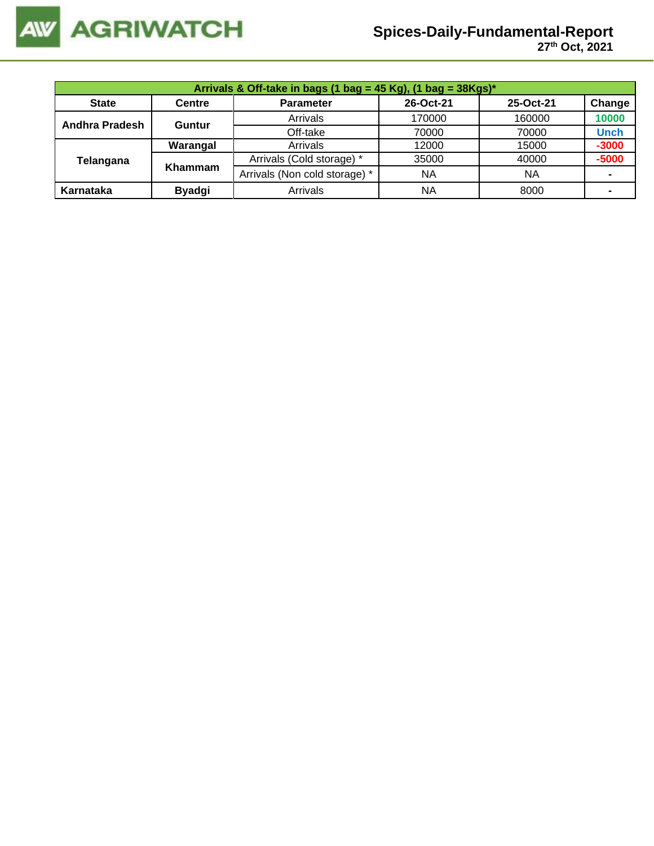

|                       | Arrivals & Off-take in bags (1 bag = 45 Kg), (1 bag = 38Kgs)* |                               |           |           |             |  |  |  |  |
|-----------------------|---------------------------------------------------------------|-------------------------------|-----------|-----------|-------------|--|--|--|--|
| <b>State</b>          | <b>Centre</b>                                                 | <b>Parameter</b>              | 26-Oct-21 | 25-Oct-21 | Change      |  |  |  |  |
| <b>Andhra Pradesh</b> | <b>Guntur</b>                                                 | Arrivals                      | 170000    | 160000    | 10000       |  |  |  |  |
|                       |                                                               | Off-take                      | 70000     | 70000     | <b>Unch</b> |  |  |  |  |
|                       | Warangal                                                      | Arrivals                      | 12000     | 15000     | $-3000$     |  |  |  |  |
| Telangana             | <b>Khammam</b>                                                | Arrivals (Cold storage) *     | 35000     | 40000     | $-5000$     |  |  |  |  |
|                       |                                                               | Arrivals (Non cold storage) * | <b>NA</b> | <b>NA</b> |             |  |  |  |  |
| Karnataka             | <b>Byadgi</b>                                                 | Arrivals                      | <b>NA</b> | 8000      |             |  |  |  |  |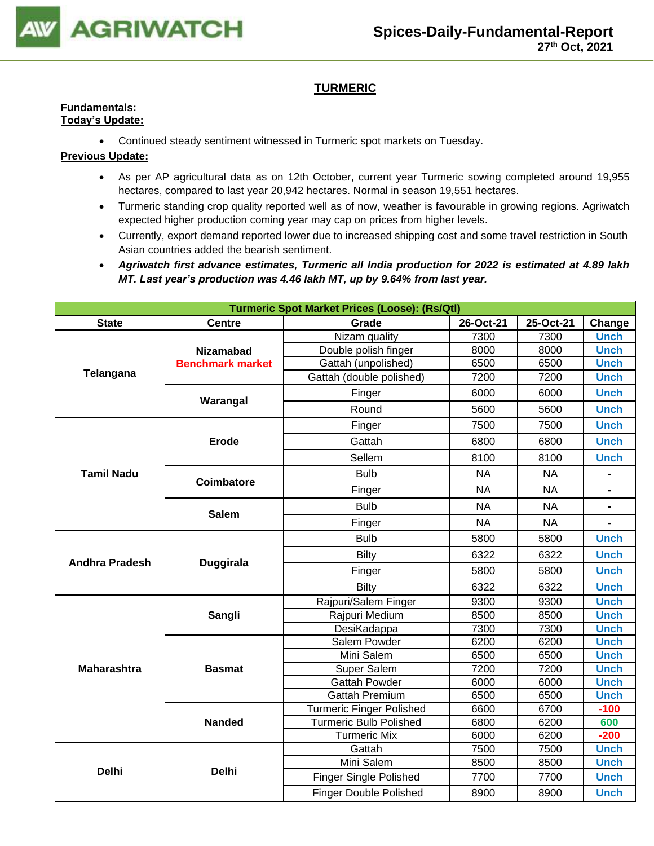

# **TURMERIC**

#### **Fundamentals: Today's Update:**

• Continued steady sentiment witnessed in Turmeric spot markets on Tuesday.

- As per AP agricultural data as on 12th October, current year Turmeric sowing completed around 19,955 hectares, compared to last year 20,942 hectares. Normal in season 19,551 hectares.
- Turmeric standing crop quality reported well as of now, weather is favourable in growing regions. Agriwatch expected higher production coming year may cap on prices from higher levels.
- Currently, export demand reported lower due to increased shipping cost and some travel restriction in South Asian countries added the bearish sentiment.
- *Agriwatch first advance estimates, Turmeric all India production for 2022 is estimated at 4.89 lakh MT. Last year's production was 4.46 lakh MT, up by 9.64% from last year.*

| <b>Turmeric Spot Market Prices (Loose): (Rs/Qtl)</b> |                         |                                                                                                                                                                                                                                                                                                                                                                                                                                                                                                                                                                                                                                                                                                                                                                                                                                                                                                      |             |           |                |  |  |
|------------------------------------------------------|-------------------------|------------------------------------------------------------------------------------------------------------------------------------------------------------------------------------------------------------------------------------------------------------------------------------------------------------------------------------------------------------------------------------------------------------------------------------------------------------------------------------------------------------------------------------------------------------------------------------------------------------------------------------------------------------------------------------------------------------------------------------------------------------------------------------------------------------------------------------------------------------------------------------------------------|-------------|-----------|----------------|--|--|
| <b>State</b>                                         | <b>Centre</b>           | Grade                                                                                                                                                                                                                                                                                                                                                                                                                                                                                                                                                                                                                                                                                                                                                                                                                                                                                                | 26-Oct-21   | 25-Oct-21 | Change         |  |  |
|                                                      |                         | Nizam quality                                                                                                                                                                                                                                                                                                                                                                                                                                                                                                                                                                                                                                                                                                                                                                                                                                                                                        | 7300        | 7300      | <b>Unch</b>    |  |  |
| Telangana                                            | <b>Nizamabad</b>        | Double polish finger                                                                                                                                                                                                                                                                                                                                                                                                                                                                                                                                                                                                                                                                                                                                                                                                                                                                                 | 8000        | 8000      | <b>Unch</b>    |  |  |
|                                                      | <b>Benchmark market</b> |                                                                                                                                                                                                                                                                                                                                                                                                                                                                                                                                                                                                                                                                                                                                                                                                                                                                                                      |             |           | <b>Unch</b>    |  |  |
|                                                      |                         |                                                                                                                                                                                                                                                                                                                                                                                                                                                                                                                                                                                                                                                                                                                                                                                                                                                                                                      |             |           | <b>Unch</b>    |  |  |
|                                                      | Warangal                | Finger                                                                                                                                                                                                                                                                                                                                                                                                                                                                                                                                                                                                                                                                                                                                                                                                                                                                                               | 6000        | 6000      | <b>Unch</b>    |  |  |
|                                                      |                         | Gattah (unpolished)<br>6500<br>6500<br>Gattah (double polished)<br>7200<br>7200<br>Round<br>5600<br>5600<br>7500<br>7500<br>Finger<br>6800<br>Gattah<br>6800<br>Sellem<br>8100<br>8100<br><b>Bulb</b><br><b>NA</b><br><b>NA</b><br><b>NA</b><br><b>NA</b><br>Finger<br><b>Bulb</b><br><b>NA</b><br><b>NA</b><br>Finger<br><b>NA</b><br><b>NA</b><br><b>Bulb</b><br>5800<br>5800<br><b>Bilty</b><br>6322<br>6322<br>5800<br>Finger<br>5800<br><b>Bilty</b><br>6322<br>6322<br>Rajpuri/Salem Finger<br>9300<br>9300<br>Rajpuri Medium<br>8500<br>8500<br>DesiKadappa<br>7300<br>7300<br>6200<br>Salem Powder<br>6200<br>Mini Salem<br>6500<br>6500<br>7200<br>7200<br>Super Salem<br>Gattah Powder<br>6000<br>6000<br>6500<br><b>Gattah Premium</b><br>6500<br>6600<br>6700<br><b>Turmeric Finger Polished</b><br><b>Turmeric Bulb Polished</b><br>6800<br>6200<br><b>Turmeric Mix</b><br>6000<br>6200 | <b>Unch</b> |           |                |  |  |
|                                                      |                         |                                                                                                                                                                                                                                                                                                                                                                                                                                                                                                                                                                                                                                                                                                                                                                                                                                                                                                      |             |           | <b>Unch</b>    |  |  |
|                                                      | <b>Erode</b>            |                                                                                                                                                                                                                                                                                                                                                                                                                                                                                                                                                                                                                                                                                                                                                                                                                                                                                                      |             |           | <b>Unch</b>    |  |  |
|                                                      |                         |                                                                                                                                                                                                                                                                                                                                                                                                                                                                                                                                                                                                                                                                                                                                                                                                                                                                                                      |             |           | <b>Unch</b>    |  |  |
| <b>Tamil Nadu</b>                                    | Coimbatore              |                                                                                                                                                                                                                                                                                                                                                                                                                                                                                                                                                                                                                                                                                                                                                                                                                                                                                                      |             |           | $\blacksquare$ |  |  |
|                                                      |                         |                                                                                                                                                                                                                                                                                                                                                                                                                                                                                                                                                                                                                                                                                                                                                                                                                                                                                                      |             |           |                |  |  |
|                                                      | <b>Salem</b>            |                                                                                                                                                                                                                                                                                                                                                                                                                                                                                                                                                                                                                                                                                                                                                                                                                                                                                                      |             |           | $\blacksquare$ |  |  |
|                                                      |                         |                                                                                                                                                                                                                                                                                                                                                                                                                                                                                                                                                                                                                                                                                                                                                                                                                                                                                                      |             |           |                |  |  |
|                                                      |                         |                                                                                                                                                                                                                                                                                                                                                                                                                                                                                                                                                                                                                                                                                                                                                                                                                                                                                                      |             |           | <b>Unch</b>    |  |  |
|                                                      | <b>Duggirala</b>        |                                                                                                                                                                                                                                                                                                                                                                                                                                                                                                                                                                                                                                                                                                                                                                                                                                                                                                      |             |           | <b>Unch</b>    |  |  |
| <b>Andhra Pradesh</b>                                |                         |                                                                                                                                                                                                                                                                                                                                                                                                                                                                                                                                                                                                                                                                                                                                                                                                                                                                                                      |             |           | <b>Unch</b>    |  |  |
|                                                      |                         |                                                                                                                                                                                                                                                                                                                                                                                                                                                                                                                                                                                                                                                                                                                                                                                                                                                                                                      |             |           | <b>Unch</b>    |  |  |
|                                                      |                         |                                                                                                                                                                                                                                                                                                                                                                                                                                                                                                                                                                                                                                                                                                                                                                                                                                                                                                      |             |           | <b>Unch</b>    |  |  |
|                                                      | Sangli                  |                                                                                                                                                                                                                                                                                                                                                                                                                                                                                                                                                                                                                                                                                                                                                                                                                                                                                                      |             |           | <b>Unch</b>    |  |  |
|                                                      |                         |                                                                                                                                                                                                                                                                                                                                                                                                                                                                                                                                                                                                                                                                                                                                                                                                                                                                                                      |             |           | <b>Unch</b>    |  |  |
|                                                      |                         |                                                                                                                                                                                                                                                                                                                                                                                                                                                                                                                                                                                                                                                                                                                                                                                                                                                                                                      |             |           | <b>Unch</b>    |  |  |
|                                                      |                         |                                                                                                                                                                                                                                                                                                                                                                                                                                                                                                                                                                                                                                                                                                                                                                                                                                                                                                      |             |           | <b>Unch</b>    |  |  |
| <b>Maharashtra</b>                                   | <b>Basmat</b>           |                                                                                                                                                                                                                                                                                                                                                                                                                                                                                                                                                                                                                                                                                                                                                                                                                                                                                                      |             |           | <b>Unch</b>    |  |  |
|                                                      |                         |                                                                                                                                                                                                                                                                                                                                                                                                                                                                                                                                                                                                                                                                                                                                                                                                                                                                                                      |             |           | <b>Unch</b>    |  |  |
|                                                      |                         |                                                                                                                                                                                                                                                                                                                                                                                                                                                                                                                                                                                                                                                                                                                                                                                                                                                                                                      |             |           | <b>Unch</b>    |  |  |
|                                                      |                         |                                                                                                                                                                                                                                                                                                                                                                                                                                                                                                                                                                                                                                                                                                                                                                                                                                                                                                      |             |           | $-100$         |  |  |
|                                                      | <b>Nanded</b>           |                                                                                                                                                                                                                                                                                                                                                                                                                                                                                                                                                                                                                                                                                                                                                                                                                                                                                                      |             |           | 600            |  |  |
|                                                      |                         |                                                                                                                                                                                                                                                                                                                                                                                                                                                                                                                                                                                                                                                                                                                                                                                                                                                                                                      |             |           | $-200$         |  |  |
|                                                      |                         | Gattah                                                                                                                                                                                                                                                                                                                                                                                                                                                                                                                                                                                                                                                                                                                                                                                                                                                                                               | 7500        | 7500      | <b>Unch</b>    |  |  |
|                                                      |                         | Mini Salem                                                                                                                                                                                                                                                                                                                                                                                                                                                                                                                                                                                                                                                                                                                                                                                                                                                                                           | 8500        | 8500      | <b>Unch</b>    |  |  |
| Delhi                                                | <b>Delhi</b>            | <b>Finger Single Polished</b>                                                                                                                                                                                                                                                                                                                                                                                                                                                                                                                                                                                                                                                                                                                                                                                                                                                                        | 7700        | 7700      | <b>Unch</b>    |  |  |
|                                                      |                         | <b>Finger Double Polished</b>                                                                                                                                                                                                                                                                                                                                                                                                                                                                                                                                                                                                                                                                                                                                                                                                                                                                        | 8900        | 8900      | <b>Unch</b>    |  |  |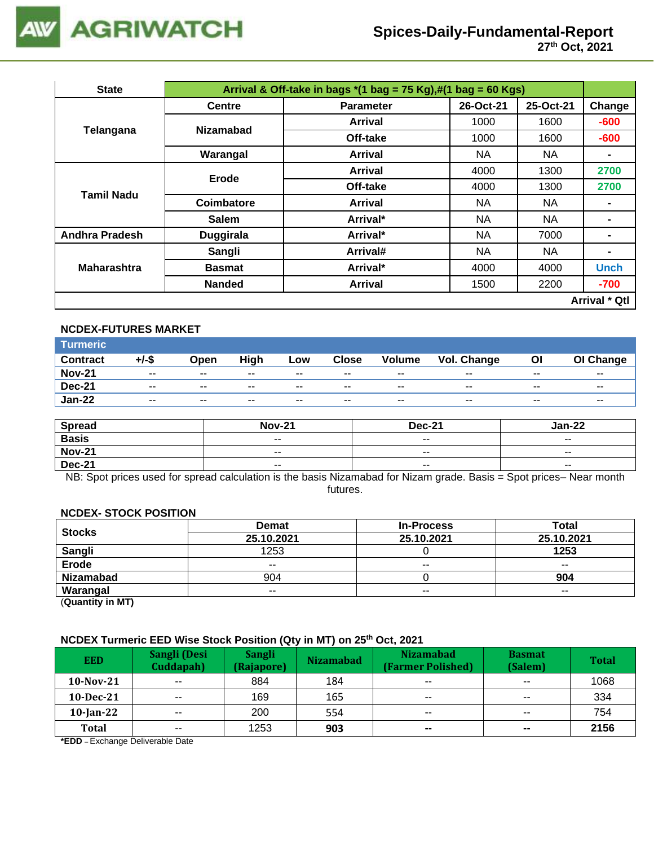

| <b>State</b>                                                           |                  |                                                                                                                                                                                                                                                                                                                                                                                                                     |      |           |                      |
|------------------------------------------------------------------------|------------------|---------------------------------------------------------------------------------------------------------------------------------------------------------------------------------------------------------------------------------------------------------------------------------------------------------------------------------------------------------------------------------------------------------------------|------|-----------|----------------------|
|                                                                        | <b>Centre</b>    | <b>Parameter</b>                                                                                                                                                                                                                                                                                                                                                                                                    |      | 25-Oct-21 | Change               |
| Telangana<br><b>Tamil Nadu</b><br>Andhra Pradesh<br><b>Maharashtra</b> | <b>Nizamabad</b> | Arrival                                                                                                                                                                                                                                                                                                                                                                                                             | 1000 | 1600      | $-600$               |
|                                                                        |                  | Off-take                                                                                                                                                                                                                                                                                                                                                                                                            | 1000 | 1600      | $-600$               |
|                                                                        | Warangal         | Arrival & Off-take in bags $*(1 \text{ bag} = 75 \text{ Kg}), \#(1 \text{ bag} = 60 \text{ Kg})$<br>26-Oct-21<br><b>NA</b><br><b>Arrival</b><br><b>NA</b><br>1300<br>Arrival<br>4000<br>Off-take<br>1300<br>4000<br><b>NA</b><br>NA<br><b>Arrival</b><br>Arrival*<br>NA<br>NA.<br>Arrival*<br><b>NA</b><br>7000<br>Arrival#<br><b>NA</b><br><b>NA</b><br>Arrival*<br>4000<br>4000<br><b>Arrival</b><br>1500<br>2200 |      |           |                      |
|                                                                        | Erode            |                                                                                                                                                                                                                                                                                                                                                                                                                     |      |           | 2700                 |
|                                                                        |                  |                                                                                                                                                                                                                                                                                                                                                                                                                     |      |           | 2700                 |
|                                                                        | Coimbatore       |                                                                                                                                                                                                                                                                                                                                                                                                                     |      |           |                      |
|                                                                        | <b>Salem</b>     |                                                                                                                                                                                                                                                                                                                                                                                                                     |      |           |                      |
|                                                                        | <b>Duggirala</b> |                                                                                                                                                                                                                                                                                                                                                                                                                     |      |           |                      |
|                                                                        | Sangli           |                                                                                                                                                                                                                                                                                                                                                                                                                     |      |           |                      |
|                                                                        | <b>Basmat</b>    |                                                                                                                                                                                                                                                                                                                                                                                                                     |      |           | <b>Unch</b>          |
|                                                                        | <b>Nanded</b>    |                                                                                                                                                                                                                                                                                                                                                                                                                     |      |           | $-700$               |
|                                                                        |                  |                                                                                                                                                                                                                                                                                                                                                                                                                     |      |           | <b>Arrival * Qtl</b> |

#### **NCDEX-FUTURES MARKET**

| Turmeric <sup>1</sup> |                          |       |       |       |                          |               |             |       |           |
|-----------------------|--------------------------|-------|-------|-------|--------------------------|---------------|-------------|-------|-----------|
| <b>Contract</b>       | +/-\$                    | Open  | High  | Low   | Close                    | <b>Volume</b> | Vol. Change | Οl    | OI Change |
| <b>Nov-21</b>         | $\overline{\phantom{a}}$ | $- -$ | $- -$ | $- -$ | $\overline{\phantom{a}}$ | $- -$         | $- -$       | $- -$ | $- -$     |
| <b>Dec-21</b>         | $\overline{\phantom{a}}$ | $- -$ | $- -$ | $- -$ | $- -$                    | $- -$         | $- -$       | $- -$ | $- -$     |
| <b>Jan-22</b>         | $\overline{\phantom{a}}$ | $- -$ | $- -$ | $- -$ | $- -$                    | $- -$         | $- -$       | $- -$ | $- -$     |

| <b>Spread</b> | <b>Nov-21</b>            | <b>Dec-21</b>            | Jan-22                   |
|---------------|--------------------------|--------------------------|--------------------------|
| <b>Basis</b>  | $\overline{\phantom{a}}$ | $\overline{\phantom{a}}$ | $\overline{\phantom{a}}$ |
| <b>Nov-21</b> | $\overline{\phantom{m}}$ | $- -$                    | $\overline{\phantom{a}}$ |
| <b>Dec-21</b> | $\overline{\phantom{a}}$ | $\overline{\phantom{a}}$ | $\overline{\phantom{a}}$ |

NB: Spot prices used for spread calculation is the basis Nizamabad for Nizam grade. Basis = Spot prices– Near month futures.

## **NCDEX- STOCK POSITION**

| <b>Stocks</b>    | <b>Demat</b> | <b>In-Process</b>                                                           | Total |
|------------------|--------------|-----------------------------------------------------------------------------|-------|
|                  | 25.10.2021   | 25.10.2021<br>25.10.2021<br>1253<br>$- -$<br>$- -$<br>904<br>$- -$<br>$- -$ |       |
| Sangli<br>Erode  | 1253         |                                                                             |       |
|                  | $- -$        |                                                                             |       |
| <b>Nizamabad</b> | 904          |                                                                             |       |
| Warangal         | $- -$        |                                                                             |       |

(**Quantity in MT)**

### **NCDEX Turmeric EED Wise Stock Position (Qty in MT) on 25th Oct, 2021**

| <b>EED</b>   | Sangli (Desi<br>Cuddapah) | Sangli<br>(Rajapore) | <b>Nizamabad</b> | <b>Nizamabad</b><br>(Farmer Polished) | <b>Basmat</b><br>(Salem) | <b>Total</b> |
|--------------|---------------------------|----------------------|------------------|---------------------------------------|--------------------------|--------------|
| $10$ -Nov-21 | $- -$                     | 884                  | 184              | $- -$                                 | $\overline{\phantom{a}}$ | 1068         |
| $10$ -Dec-21 | $\overline{\phantom{a}}$  | 169                  | 165              | $- -$                                 | $- -$                    | 334          |
| $10$ -Jan-22 | $- -$                     | 200                  | 554              | $- -$                                 | $- -$                    | 754          |
| <b>Total</b> | $\sim$ $\sim$             | 1253                 | 903              | $\sim$                                | $\sim$                   | 2156         |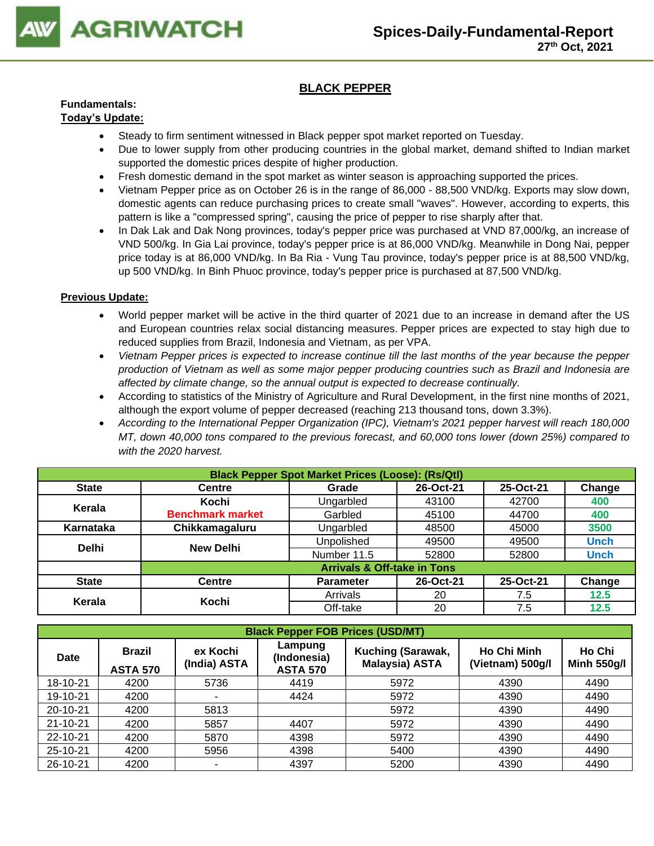

# **BLACK PEPPER**

# **Fundamentals:**

## **Today's Update:**

- Steady to firm sentiment witnessed in Black pepper spot market reported on Tuesday.
- Due to lower supply from other producing countries in the global market, demand shifted to Indian market supported the domestic prices despite of higher production.
- Fresh domestic demand in the spot market as winter season is approaching supported the prices.
- Vietnam Pepper price as on October 26 is in the range of 86,000 88,500 VND/kg. Exports may slow down, domestic agents can reduce purchasing prices to create small "waves". However, according to experts, this pattern is like a "compressed spring", causing the price of pepper to rise sharply after that.
- In Dak Lak and Dak Nong provinces, today's pepper price was purchased at VND 87,000/kg, an increase of VND 500/kg. In Gia Lai province, today's pepper price is at 86,000 VND/kg. Meanwhile in Dong Nai, pepper price today is at 86,000 VND/kg. In Ba Ria - Vung Tau province, today's pepper price is at 88,500 VND/kg, up 500 VND/kg. In Binh Phuoc province, today's pepper price is purchased at 87,500 VND/kg.

- World pepper market will be active in the third quarter of 2021 due to an increase in demand after the US and European countries relax social distancing measures. Pepper prices are expected to stay high due to reduced supplies from Brazil, Indonesia and Vietnam, as per VPA.
- *Vietnam Pepper prices is expected to increase continue till the last months of the year because the pepper production of Vietnam as well as some major pepper producing countries such as Brazil and Indonesia are affected by climate change, so the annual output is expected to decrease continually.*
- According to statistics of the Ministry of Agriculture and Rural Development, in the first nine months of 2021, although the export volume of pepper decreased (reaching 213 thousand tons, down 3.3%).
- *According to the International Pepper Organization (IPC), Vietnam's 2021 pepper harvest will reach 180,000 MT, down 40,000 tons compared to the previous forecast, and 60,000 tons lower (down 25%) compared to with the 2020 harvest.*

|              | <b>Black Pepper Spot Market Prices (Loose): (Rs/Qtl)</b> |                                        |           |           |             |  |  |  |  |
|--------------|----------------------------------------------------------|----------------------------------------|-----------|-----------|-------------|--|--|--|--|
| <b>State</b> | <b>Centre</b>                                            | Grade                                  | 26-Oct-21 | 25-Oct-21 | Change      |  |  |  |  |
| Kerala       | Kochi                                                    | Ungarbled                              | 43100     | 42700     | 400         |  |  |  |  |
|              | <b>Benchmark market</b>                                  | Garbled                                | 45100     | 44700     | 400         |  |  |  |  |
| Karnataka    | Chikkamagaluru                                           | Ungarbled                              | 48500     | 45000     | 3500        |  |  |  |  |
| <b>Delhi</b> | <b>New Delhi</b>                                         | Unpolished                             | 49500     | 49500     | <b>Unch</b> |  |  |  |  |
|              |                                                          | Number 11.5                            | 52800     | 52800     | <b>Unch</b> |  |  |  |  |
|              |                                                          | <b>Arrivals &amp; Off-take in Tons</b> |           |           |             |  |  |  |  |
| <b>State</b> | <b>Centre</b>                                            | <b>Parameter</b>                       | 26-Oct-21 | 25-Oct-21 | Change      |  |  |  |  |
|              | Kochi                                                    | Arrivals                               | 20        | 7.5       | 12.5        |  |  |  |  |
| Kerala       |                                                          | Off-take                               | 20        | 7.5       | 12.5        |  |  |  |  |

|             | <b>Black Pepper FOB Prices (USD/MT)</b>                      |                |                                           |                                                   |                                        |                              |  |  |  |  |  |
|-------------|--------------------------------------------------------------|----------------|-------------------------------------------|---------------------------------------------------|----------------------------------------|------------------------------|--|--|--|--|--|
| <b>Date</b> | ex Kochi<br><b>Brazil</b><br>(India) ASTA<br><b>ASTA 570</b> |                | Lampung<br>(Indonesia)<br><b>ASTA 570</b> | <b>Kuching (Sarawak,</b><br><b>Malaysia) ASTA</b> | <b>Ho Chi Minh</b><br>(Vietnam) 500g/l | Ho Chi<br><b>Minh 550g/l</b> |  |  |  |  |  |
| 18-10-21    | 4200                                                         | 5736           | 4419                                      | 5972                                              | 4390                                   | 4490                         |  |  |  |  |  |
| 19-10-21    | 4200                                                         | ۰              | 4424                                      | 5972                                              | 4390                                   | 4490                         |  |  |  |  |  |
| 20-10-21    | 4200                                                         | 5813           |                                           | 5972                                              | 4390                                   | 4490                         |  |  |  |  |  |
| 21-10-21    | 4200                                                         | 5857           | 4407                                      | 5972                                              | 4390                                   | 4490                         |  |  |  |  |  |
| 22-10-21    | 4200                                                         | 5870           | 4398                                      | 5972                                              | 4390                                   | 4490                         |  |  |  |  |  |
| 25-10-21    | 4200                                                         | 5956           | 4398                                      | 5400                                              | 4390                                   | 4490                         |  |  |  |  |  |
| 26-10-21    | 4200                                                         | $\blacksquare$ | 4397                                      | 5200                                              | 4390                                   | 4490                         |  |  |  |  |  |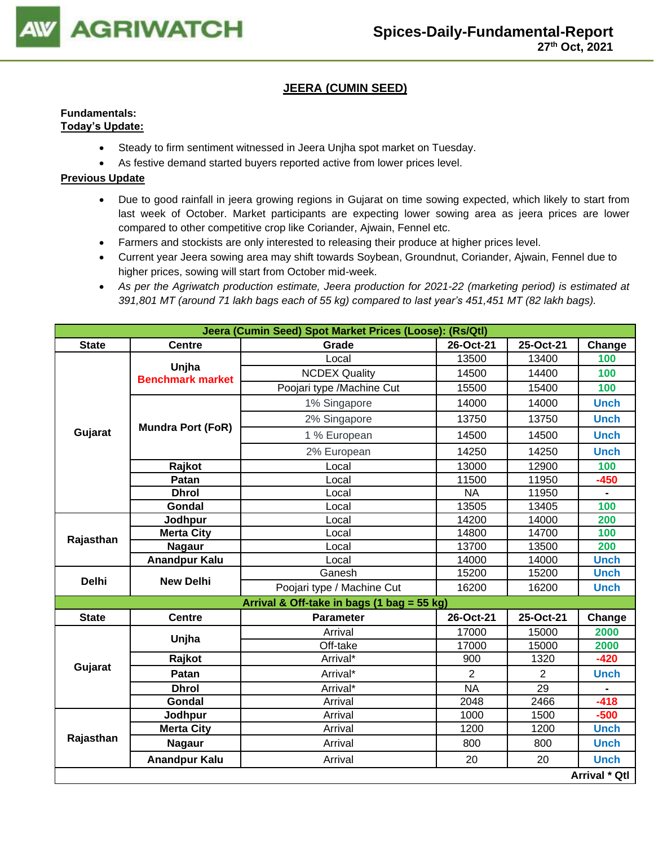

# **JEERA (CUMIN SEED)**

#### **Fundamentals: Today's Update:**

- Steady to firm sentiment witnessed in Jeera Unjha spot market on Tuesday.
- As festive demand started buyers reported active from lower prices level.

- Due to good rainfall in jeera growing regions in Gujarat on time sowing expected, which likely to start from last week of October. Market participants are expecting lower sowing area as jeera prices are lower compared to other competitive crop like Coriander, Ajwain, Fennel etc.
- Farmers and stockists are only interested to releasing their produce at higher prices level.
- Current year Jeera sowing area may shift towards Soybean, Groundnut, Coriander, Ajwain, Fennel due to higher prices, sowing will start from October mid-week.
- *As per the Agriwatch production estimate, Jeera production for 2021-22 (marketing period) is estimated at 391,801 MT (around 71 lakh bags each of 55 kg) compared to last year's 451,451 MT (82 lakh bags).*

|              |                                  | Jeera (Cumin Seed) Spot Market Prices (Loose): (Rs/Qtl) |                |                |                      |
|--------------|----------------------------------|---------------------------------------------------------|----------------|----------------|----------------------|
| <b>State</b> | <b>Centre</b>                    | Grade                                                   | 26-Oct-21      | 25-Oct-21      | Change               |
|              |                                  | Local                                                   | 13500          | 13400          | 100                  |
|              | Unjha<br><b>Benchmark market</b> | <b>NCDEX Quality</b>                                    | 14500          | 14400          | 100                  |
|              |                                  | Poojari type /Machine Cut                               | 15500          | 15400          | 100                  |
|              |                                  | 1% Singapore                                            | 14000          | 14000          | <b>Unch</b>          |
|              | <b>Mundra Port (FoR)</b>         | 2% Singapore                                            | 13750          | 13750          | <b>Unch</b>          |
| Gujarat      |                                  | 1 % European                                            | 14500          | 14500          | <b>Unch</b>          |
|              |                                  | 2% European                                             | 14250          | 14250          | <b>Unch</b>          |
|              | Rajkot                           | Local                                                   | 13000          | 12900          | 100                  |
|              | Patan                            | Local                                                   | 11500          | 11950          | $-450$               |
|              | <b>Dhrol</b>                     | Local                                                   | <b>NA</b>      | 11950          | $\blacksquare$       |
|              | <b>Gondal</b>                    | Local                                                   | 13505          | 13405          | 100                  |
|              | Jodhpur                          | Local                                                   | 14200          | 14000          | 200                  |
| Rajasthan    | <b>Merta City</b>                | Local                                                   | 14800          | 14700          | 100                  |
|              | <b>Nagaur</b>                    | Local                                                   | 13700          | 13500          | 200                  |
|              | <b>Anandpur Kalu</b>             | Local                                                   | 14000          | 14000          | <b>Unch</b>          |
|              | <b>Delhi</b><br><b>New Delhi</b> | Ganesh                                                  | 15200          | 15200          | <b>Unch</b>          |
|              |                                  | Poojari type / Machine Cut                              | 16200          | 16200          | <b>Unch</b>          |
|              |                                  | Arrival & Off-take in bags (1 bag = 55 kg)              |                |                |                      |
| <b>State</b> | <b>Centre</b>                    | <b>Parameter</b>                                        | 26-Oct-21      | 25-Oct-21      | Change               |
|              | Unjha                            | Arrival                                                 | 17000          | 15000          | 2000                 |
|              |                                  | Off-take                                                | 17000          | 15000          | 2000                 |
|              | Rajkot                           | Arrival*                                                | 900            | 1320           | $-420$               |
| Gujarat      | Patan                            | Arrival*                                                | $\overline{2}$ | $\overline{2}$ | <b>Unch</b>          |
|              | <b>Dhrol</b>                     | Arrival*                                                | <b>NA</b>      | 29             | $\blacksquare$       |
|              | Gondal                           | Arrival                                                 | 2048           | 2466           | $-418$               |
|              | Jodhpur                          | Arrival                                                 | 1000           | 1500           | $-500$               |
|              | <b>Merta City</b>                | Arrival                                                 | 1200           | 1200           | <b>Unch</b>          |
| Rajasthan    | <b>Nagaur</b>                    | Arrival                                                 | 800            | 800            | <b>Unch</b>          |
|              | <b>Anandpur Kalu</b>             | Arrival                                                 | 20             | 20             | <b>Unch</b>          |
|              |                                  |                                                         |                |                | <b>Arrival * Qtl</b> |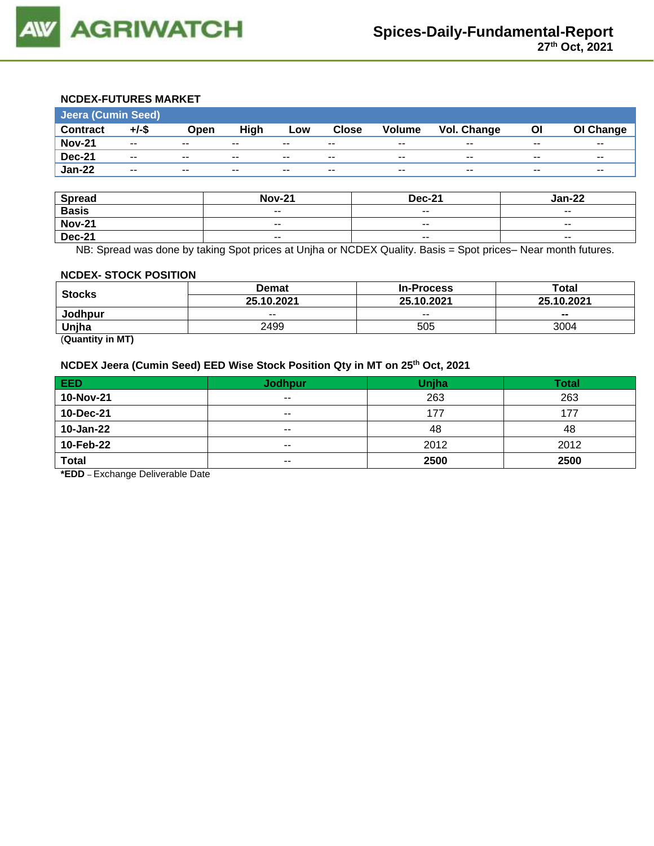

## **NCDEX-FUTURES MARKET**

| Jeera (Cumin Seed) |                          |               |       |       |              |                          |             |       |           |
|--------------------|--------------------------|---------------|-------|-------|--------------|--------------------------|-------------|-------|-----------|
| <b>Contract</b>    | $+/-$ \$                 | Open          | High  | Low   | <b>Close</b> | <b>Volume</b>            | Vol. Change | ΟI    | OI Change |
| <b>Nov-21</b>      | $\sim$ $\sim$            | $- -$         | $- -$ | $- -$ | $- -$        | $- -$                    | $- -$       | $- -$ | $- -$     |
| <b>Dec-21</b>      | $- -$                    | $\sim$ $\sim$ | $- -$ | $- -$ | $- -$        | $\overline{\phantom{a}}$ | $- -$       | $- -$ | $- -$     |
| <b>Jan-22</b>      | $\overline{\phantom{a}}$ | $\sim$ $\sim$ | $- -$ | $- -$ | $- -$        | $\overline{\phantom{a}}$ | $- -$       | $- -$ | $- -$     |

| <b>Spread</b> | <b>Nov-21</b>            | <b>Dec-21</b>            | <b>Jan-22</b>            |
|---------------|--------------------------|--------------------------|--------------------------|
| <b>Basis</b>  | $- -$                    | $\overline{\phantom{a}}$ | $- -$                    |
| <b>Nov-21</b> | $\overline{\phantom{a}}$ | $\sim$ $\sim$            | $\overline{\phantom{a}}$ |
| <b>Dec-21</b> | $- -$                    | $\overline{\phantom{a}}$ | $- -$                    |

NB: Spread was done by taking Spot prices at Unjha or NCDEX Quality. Basis = Spot prices– Near month futures.

#### **NCDEX- STOCK POSITION**

|               | Demat      | <b>In-Process</b> | Total      |  |
|---------------|------------|-------------------|------------|--|
| <b>Stocks</b> | 25.10.2021 | 25.10.2021        | 25.10.2021 |  |
| Jodhpur       | $- -$      | $- -$             | $- -$      |  |
| Unjha         | 2499       | 505               | 3004       |  |

(**Quantity in MT)**

# **NCDEX Jeera (Cumin Seed) EED Wise Stock Position Qty in MT on 25th Oct, 2021**

| <b>EED</b>   | Jodhpur/      | <b>Unjha</b> | <b>Total</b> |
|--------------|---------------|--------------|--------------|
| 10-Nov-21    | $\sim$ $\sim$ | 263          | 263          |
| 10-Dec-21    | $\sim$ $\sim$ | 177          | 177          |
| 10-Jan-22    | $- -$         | 48           | 48           |
| 10-Feb-22    | $- -$         | 2012         | 2012         |
| <b>Total</b> | $\sim$ $\sim$ | 2500         | 2500         |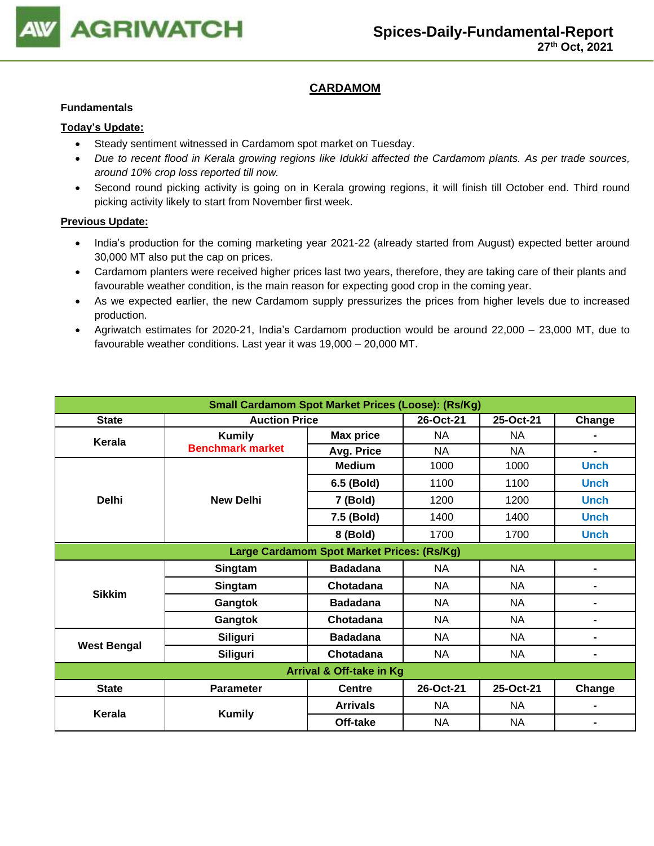

# **CARDAMOM**

### **Fundamentals**

### **Today's Update:**

- Steady sentiment witnessed in Cardamom spot market on Tuesday.
- *Due to recent flood in Kerala growing regions like Idukki affected the Cardamom plants. As per trade sources, around 10% crop loss reported till now.*
- Second round picking activity is going on in Kerala growing regions, it will finish till October end. Third round picking activity likely to start from November first week.

- India's production for the coming marketing year 2021-22 (already started from August) expected better around 30,000 MT also put the cap on prices.
- Cardamom planters were received higher prices last two years, therefore, they are taking care of their plants and favourable weather condition, is the main reason for expecting good crop in the coming year.
- As we expected earlier, the new Cardamom supply pressurizes the prices from higher levels due to increased production.
- Agriwatch estimates for 2020-21, India's Cardamom production would be around 22,000 23,000 MT, due to favourable weather conditions. Last year it was 19,000 – 20,000 MT.

| <b>Small Cardamom Spot Market Prices (Loose): (Rs/Kg)</b> |                         |                  |           |           |                |  |  |
|-----------------------------------------------------------|-------------------------|------------------|-----------|-----------|----------------|--|--|
| <b>State</b>                                              | <b>Auction Price</b>    | 26-Oct-21        | 25-Oct-21 | Change    |                |  |  |
| Kerala                                                    | <b>Kumily</b>           | <b>Max price</b> | <b>NA</b> | <b>NA</b> |                |  |  |
|                                                           | <b>Benchmark market</b> | Avg. Price       | <b>NA</b> | <b>NA</b> |                |  |  |
|                                                           |                         | <b>Medium</b>    | 1000      | 1000      | <b>Unch</b>    |  |  |
|                                                           |                         | 6.5 (Bold)       | 1100      | 1100      | <b>Unch</b>    |  |  |
| <b>Delhi</b>                                              | <b>New Delhi</b>        | 7 (Bold)         | 1200      | 1200      | <b>Unch</b>    |  |  |
|                                                           |                         | 7.5 (Bold)       | 1400      | 1400      | <b>Unch</b>    |  |  |
|                                                           |                         | 8 (Bold)         | 1700      | 1700      | <b>Unch</b>    |  |  |
| Large Cardamom Spot Market Prices: (Rs/Kg)                |                         |                  |           |           |                |  |  |
|                                                           | Singtam                 | <b>Badadana</b>  | <b>NA</b> | <b>NA</b> | $\blacksquare$ |  |  |
|                                                           | Singtam                 | Chotadana        | <b>NA</b> | NA.       | -              |  |  |
| <b>Sikkim</b>                                             | Gangtok                 | <b>Badadana</b>  | <b>NA</b> | <b>NA</b> | $\blacksquare$ |  |  |
|                                                           | Gangtok                 | Chotadana        | <b>NA</b> | <b>NA</b> |                |  |  |
|                                                           | Siliguri                | <b>Badadana</b>  | <b>NA</b> | <b>NA</b> |                |  |  |
| <b>West Bengal</b><br><b>Siliguri</b>                     |                         | Chotadana        | <b>NA</b> | <b>NA</b> | $\blacksquare$ |  |  |
| <b>Arrival &amp; Off-take in Kg</b>                       |                         |                  |           |           |                |  |  |
| <b>State</b>                                              | <b>Parameter</b>        | <b>Centre</b>    | 26-Oct-21 | 25-Oct-21 | Change         |  |  |
| Kerala                                                    |                         | <b>Arrivals</b>  | <b>NA</b> | NA.       |                |  |  |
|                                                           | <b>Kumily</b>           | Off-take         | <b>NA</b> | <b>NA</b> |                |  |  |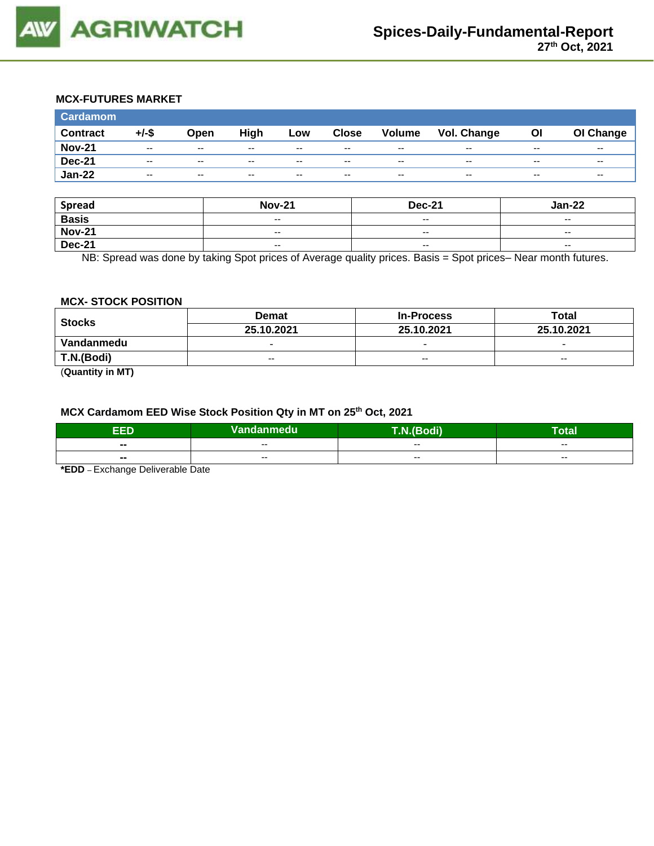

### **MCX-FUTURES MARKET**

| <b>Cardamom</b> |                          |                          |       |                          |              |                          |             |                          |                          |
|-----------------|--------------------------|--------------------------|-------|--------------------------|--------------|--------------------------|-------------|--------------------------|--------------------------|
| <b>Contract</b> | +/-\$                    | Open                     | High  | Low                      | <b>Close</b> | <b>Volume</b>            | Vol. Change | OI                       | OI Change                |
| <b>Nov-21</b>   | $- -$                    | $\sim$ $\sim$            | $- -$ | $- -$                    | $- -$        | $- -$                    | $- -$       | $- -$                    | $\overline{\phantom{a}}$ |
| <b>Dec-21</b>   | $\overline{\phantom{a}}$ | $\overline{\phantom{a}}$ | $- -$ | $\overline{\phantom{a}}$ | $- -$        | $\overline{\phantom{a}}$ | $- -$       | $\overline{\phantom{a}}$ | $\overline{\phantom{a}}$ |
| <b>Jan-22</b>   | $- -$                    | $- -$                    | $- -$ | $- -$                    | $- -$        | $- -$                    | $- -$       | $\overline{\phantom{a}}$ | $\overline{\phantom{a}}$ |

| <b>Spread</b> | <b>Nov-21</b>            | <b>Dec-21</b>            | $Jan-22$                 |
|---------------|--------------------------|--------------------------|--------------------------|
| <b>Basis</b>  | $\overline{\phantom{a}}$ | $-$                      | $-$                      |
| <b>Nov-21</b> | $\overline{\phantom{a}}$ | $- -$                    | $\overline{\phantom{a}}$ |
| <b>Dec-21</b> | $\overline{\phantom{a}}$ | $\overline{\phantom{a}}$ | $\overline{\phantom{a}}$ |

NB: Spread was done by taking Spot prices of Average quality prices. Basis = Spot prices– Near month futures.

#### **MCX- STOCK POSITION**

| Stocks                                | <b>Demat</b>             | <b>In-Process</b>        | Total                    |  |
|---------------------------------------|--------------------------|--------------------------|--------------------------|--|
|                                       | 25.10.2021               | 25.10.2021               | 25.10.2021               |  |
| Vandanmedu                            | $\overline{\phantom{0}}$ | $\overline{\phantom{0}}$ | $\overline{\phantom{0}}$ |  |
| T.N.(Bodi)                            | $- -$                    | $-$                      | $-$                      |  |
| $\overline{\phantom{a}}$<br>$- - - -$ |                          |                          |                          |  |

(**Quantity in MT)**

# **MCX Cardamom EED Wise Stock Position Qty in MT on 25th Oct, 2021**

| aar                      | Vandanmedu | <b><i>PERS</i></b> | -<br><sup>-</sup> otal |
|--------------------------|------------|--------------------|------------------------|
| --                       | --         | --                 | $- -$                  |
| $\overline{\phantom{a}}$ | $- -$      | $- -$              | $\sim$ $\sim$          |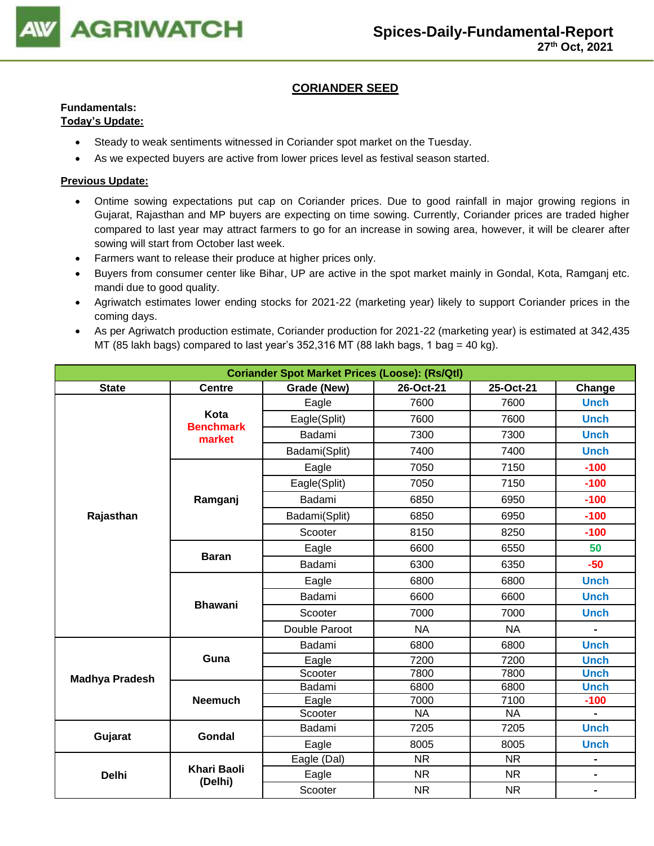

# **CORIANDER SEED**

# **Fundamentals:**

## **Today's Update:**

- Steady to weak sentiments witnessed in Coriander spot market on the Tuesday.
- As we expected buyers are active from lower prices level as festival season started.

- Ontime sowing expectations put cap on Coriander prices. Due to good rainfall in major growing regions in Gujarat, Rajasthan and MP buyers are expecting on time sowing. Currently, Coriander prices are traded higher compared to last year may attract farmers to go for an increase in sowing area, however, it will be clearer after sowing will start from October last week.
- Farmers want to release their produce at higher prices only.
- Buyers from consumer center like Bihar, UP are active in the spot market mainly in Gondal, Kota, Ramganj etc. mandi due to good quality.
- Agriwatch estimates lower ending stocks for 2021-22 (marketing year) likely to support Coriander prices in the coming days.
- As per Agriwatch production estimate, Coriander production for 2021-22 (marketing year) is estimated at 342,435 MT (85 lakh bags) compared to last year's 352,316 MT (88 lakh bags, 1 bag = 40 kg).

| <b>Coriander Spot Market Prices (Loose): (Rs/Qtl)</b> |                               |               |           |           |                              |  |  |
|-------------------------------------------------------|-------------------------------|---------------|-----------|-----------|------------------------------|--|--|
| <b>State</b>                                          | <b>Centre</b>                 | Grade (New)   | 26-Oct-21 | 25-Oct-21 | Change                       |  |  |
|                                                       |                               | Eagle         | 7600      | 7600      | <b>Unch</b>                  |  |  |
|                                                       | Kota<br><b>Benchmark</b>      | Eagle(Split)  | 7600      | 7600      | <b>Unch</b>                  |  |  |
|                                                       | market                        | Badami        | 7300      | 7300      | <b>Unch</b>                  |  |  |
|                                                       |                               | Badami(Split) | 7400      | 7400      | <b>Unch</b>                  |  |  |
|                                                       |                               | Eagle         | 7050      | 7150      | $-100$                       |  |  |
|                                                       |                               | Eagle(Split)  | 7050      | 7150      | $-100$                       |  |  |
|                                                       | Ramganj                       | Badami        | 6850      | 6950      | $-100$                       |  |  |
| Rajasthan                                             |                               | Badami(Split) | 6850      | 6950      | $-100$                       |  |  |
|                                                       |                               | Scooter       | 8150      | 8250      | $-100$                       |  |  |
|                                                       |                               | Eagle         | 6600      | 6550      | 50                           |  |  |
|                                                       | <b>Baran</b>                  | Badami        | 6300      | 6350      | $-50$                        |  |  |
|                                                       |                               | Eagle         | 6800      | 6800      | <b>Unch</b>                  |  |  |
|                                                       | <b>Bhawani</b>                | Badami        | 6600      | 6600      | <b>Unch</b>                  |  |  |
|                                                       |                               | Scooter       | 7000      | 7000      | <b>Unch</b>                  |  |  |
|                                                       |                               | Double Paroot | <b>NA</b> | <b>NA</b> |                              |  |  |
|                                                       |                               | Badami        | 6800      | 6800      | <b>Unch</b>                  |  |  |
|                                                       | Guna                          | Eagle         | 7200      | 7200      | <b>Unch</b>                  |  |  |
| <b>Madhya Pradesh</b>                                 |                               | Scooter       | 7800      | 7800      | <b>Unch</b>                  |  |  |
|                                                       |                               | Badami        | 6800      | 6800      | <b>Unch</b>                  |  |  |
|                                                       | <b>Neemuch</b>                | Eagle         | 7000      | 7100      | $-100$                       |  |  |
|                                                       |                               | Scooter       | <b>NA</b> | <b>NA</b> |                              |  |  |
| Gujarat                                               | <b>Gondal</b>                 | Badami        | 7205      | 7205      | <b>Unch</b>                  |  |  |
|                                                       |                               | Eagle         | 8005      | 8005      | <b>Unch</b>                  |  |  |
|                                                       |                               | Eagle (Dal)   | <b>NR</b> | <b>NR</b> | $\blacksquare$               |  |  |
| <b>Delhi</b>                                          | <b>Khari Baoli</b><br>(Delhi) | Eagle         | <b>NR</b> | <b>NR</b> | $\qquad \qquad \blacksquare$ |  |  |
|                                                       |                               | Scooter       | <b>NR</b> | <b>NR</b> | $\blacksquare$               |  |  |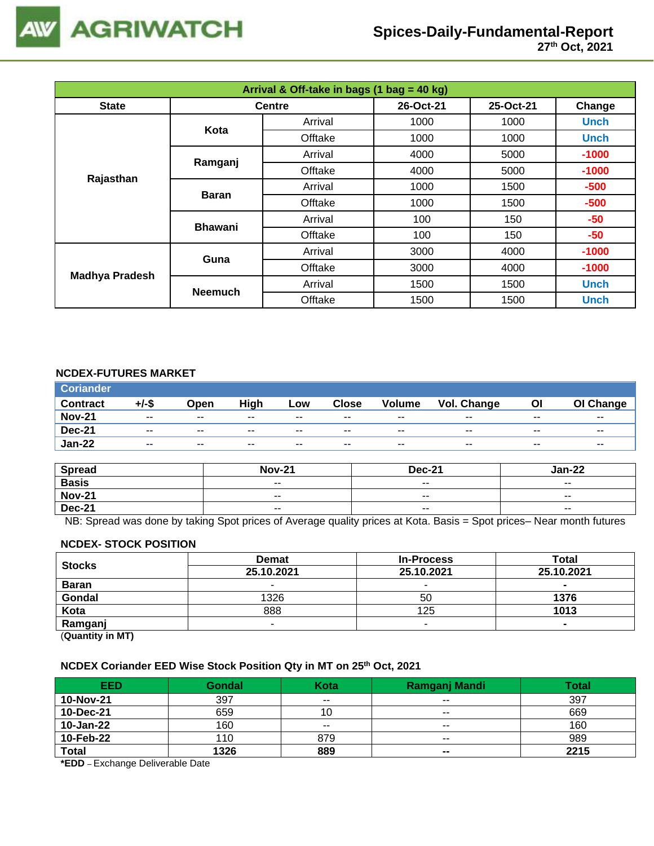

| Arrival & Off-take in bags (1 bag = 40 kg) |                |               |           |           |             |  |  |
|--------------------------------------------|----------------|---------------|-----------|-----------|-------------|--|--|
| <b>State</b>                               |                | <b>Centre</b> | 26-Oct-21 | 25-Oct-21 | Change      |  |  |
|                                            | Kota           | Arrival       | 1000      | 1000      | <b>Unch</b> |  |  |
|                                            |                | Offtake       | 1000      | 1000      | <b>Unch</b> |  |  |
|                                            | Ramganj        | Arrival       | 4000      | 5000      | $-1000$     |  |  |
| Rajasthan                                  |                | Offtake       | 4000      | 5000      | $-1000$     |  |  |
|                                            | <b>Baran</b>   | Arrival       | 1000      | 1500      | $-500$      |  |  |
|                                            |                | Offtake       | 1000      | 1500      | $-500$      |  |  |
|                                            | <b>Bhawani</b> | Arrival       | 100       | 150       | $-50$       |  |  |
|                                            |                | Offtake       | 100       | 150       | -50         |  |  |
| <b>Madhya Pradesh</b>                      | Guna           | Arrival       | 3000      | 4000      | $-1000$     |  |  |
|                                            |                | Offtake       | 3000      | 4000      | $-1000$     |  |  |
|                                            | <b>Neemuch</b> | Arrival       | 1500      | 1500      | <b>Unch</b> |  |  |
|                                            |                | Offtake       | 1500      | 1500      | <b>Unch</b> |  |  |

## **NCDEX-FUTURES MARKET**

| <b>Coriander</b> |          |                          |       |       |              |               |             |       |                          |
|------------------|----------|--------------------------|-------|-------|--------------|---------------|-------------|-------|--------------------------|
| <b>Contract</b>  | $+/-$ \$ | Open                     | High  | Low   | <b>Close</b> | <b>Volume</b> | Vol. Change | ΟI    | OI Change                |
| <b>Nov-21</b>    | $- -$    | $- -$                    | $- -$ | $- -$ | $- -$        | $- -$         | $- -$       | $- -$ | $- -$                    |
| <b>Dec-21</b>    | $- -$    | $\overline{\phantom{a}}$ | $- -$ | $- -$ | $- -$        | $- -$         | $- -$       | $- -$ | $\overline{\phantom{a}}$ |
| <b>Jan-22</b>    | $- -$    | $\overline{\phantom{a}}$ | $- -$ | $- -$ | $- -$        | $- -$         | $- -$       | $- -$ | $- -$                    |

| <b>Spread</b> | <b>Nov-21</b> | <b>Dec-21</b>            | Jan-22                   |
|---------------|---------------|--------------------------|--------------------------|
| <b>Basis</b>  | $- -$         | $\overline{\phantom{a}}$ | $\overline{\phantom{a}}$ |
| <b>Nov-21</b> | $- -$         | $- -$                    | $- -$                    |
| <b>Dec-21</b> | $- -$         | $\sim$ $\sim$            | $\overline{\phantom{a}}$ |

NB: Spread was done by taking Spot prices of Average quality prices at Kota. Basis = Spot prices– Near month futures

#### **NCDEX- STOCK POSITION**

| <b>Stocks</b>         | <b>Demat</b> | <b>In-Process</b> | Total          |  |  |  |
|-----------------------|--------------|-------------------|----------------|--|--|--|
|                       | 25.10.2021   | 25.10.2021        | 25.10.2021     |  |  |  |
| <b>Baran</b>          |              | -                 | $\blacksquare$ |  |  |  |
| Gondal                | 1326         | 50                | 1376           |  |  |  |
| Kota                  | 888          | 125               | 1013           |  |  |  |
| Ramganj               |              |                   |                |  |  |  |
| (0.122, 0.012, 0.012) |              |                   |                |  |  |  |

(**Quantity in MT)**

#### **NCDEX Coriander EED Wise Stock Position Qty in MT on 25th Oct, 2021**

| <b>EED</b>   | <b>Gondal</b> | Kota  | Ramganj Mandi  | Total |
|--------------|---------------|-------|----------------|-------|
| 10-Nov-21    | 397           | $- -$ | $- -$          | 397   |
| 10-Dec-21    | 659           | 10    | $- -$          | 669   |
| 10-Jan-22    | 160           | $- -$ | $- -$          | 160   |
| 10-Feb-22    | 110           | 879   | $- -$          | 989   |
| <b>Total</b> | 1326          | 889   | $\blacksquare$ | 2215  |